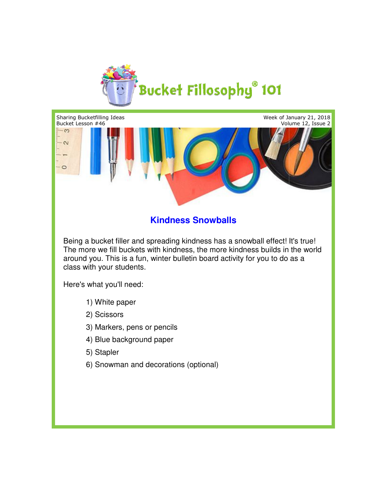



## **Kindness Snowballs**

Being a bucket filler and spreading kindness has a snowball effect! It's true! Being a bucket filler and spreading kindness has a snowball effect! It's true!<br>The more we fill buckets with kindness, the more kindness builds in the world around you. This is a fun, winter bulletin board activity for you to do as a<br>class with your students. class with your students.

Here's what you'll need:

- 1) White paper
- 2) Scissors
- 3) Markers, pens or pencils
- 4) Blue background paper
- 5) Stapler
- 6) Snowman and decorations (optional)